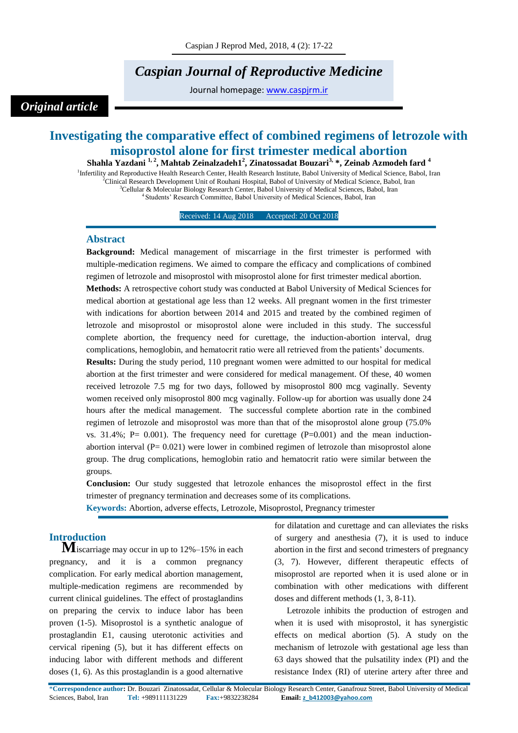# *Caspian Journal of Reproductive Medicine*

Journal homepage: [www.caspjrm.ir](http://www.caspjrm.ir/)

# *Original article*

# **Investigating the comparative effect of combined regimens of letrozole with misoprostol alone for first trimester medical abortion**

**Shahla Yazdani 1, <sup>2</sup> , Mahtab Zeinalzadeh1<sup>2</sup> , Zinatossadat Bouzari3, \*, Zeinab Azmodeh fard <sup>4</sup>** <sup>1</sup>Infertility and Reproductive Health Research Center, Health Research Institute, Babol University of Medical Science, Babol, Iran <sup>2</sup>Clinical Research Development Unit of Rouhani Hospital, Babol of University of Medical Science, Babol, Iran <sup>3</sup>Cellular & Molecular Biology Research Center, Babol University of Medical Sciences, Babol, Iran <sup>4</sup> Students' Research Committee, Babol University of Medical Sciences, Babol, Iran

Received: 14 Aug 2018 Accepted: 20 Oct 2018

### **Abstract**

**Background:** Medical management of miscarriage in the first trimester is performed with multiple-medication regimens. We aimed to compare the efficacy and complications of combined regimen of letrozole and misoprostol with misoprostol alone for first trimester medical abortion. **Methods:** A retrospective cohort study was conducted at Babol University of Medical Sciences for medical abortion at gestational age less than 12 weeks. All pregnant women in the first trimester with indications for abortion between 2014 and 2015 and treated by the combined regimen of letrozole and misoprostol or misoprostol alone were included in this study. The successful complete abortion, the frequency need for curettage, the induction-abortion interval, drug complications, hemoglobin, and hematocrit ratio were all retrieved from the patients' documents.

**Results:** During the study period, 110 pregnant women were admitted to our hospital for medical abortion at the first trimester and were considered for medical management. Of these, 40 women received letrozole 7.5 mg for two days, followed by misoprostol 800 mcg vaginally. Seventy women received only misoprostol 800 mcg vaginally. Follow-up for abortion was usually done 24 hours after the medical management. The successful complete abortion rate in the combined regimen of letrozole and misoprostol was more than that of the misoprostol alone group (75.0% vs. 31.4%; P= 0.001). The frequency need for curettage  $(P=0.001)$  and the mean inductionabortion interval  $(P= 0.021)$  were lower in combined regimen of letrozole than misoprostol alone group. The drug complications, hemoglobin ratio and hematocrit ratio were similar between the groups.

**Conclusion:** Our study suggested that letrozole enhances the misoprostol effect in the first trimester of pregnancy termination and decreases some of its complications.

**Keywords:** Abortion, adverse effects, Letrozole, Misoprostol, Pregnancy trimester

## **Introduction**

**M**iscarriage may occur in up to 12%–15% in each pregnancy, and it is a common pregnancy complication. For early medical abortion management, multiple-medication regimens are recommended by current clinical guidelines. The effect of prostaglandins on preparing the cervix to induce labor has been proven (1-5). Misoprostol is a synthetic analogue of prostaglandin E1, causing uterotonic activities and cervical ripening (5), but it has different effects on inducing labor with different methods and different doses (1, 6). As this prostaglandin is a good alternative

for dilatation and curettage and can alleviates the risks of surgery and anesthesia (7), it is used to induce abortion in the first and second trimesters of pregnancy (3, 7). However, different therapeutic effects of misoprostol are reported when it is used alone or in combination with other medications with different doses and different methods (1, 3, 8-11).

Letrozole inhibits the production of estrogen and when it is used with misoprostol, it has synergistic effects on medical abortion (5). A study on the mechanism of letrozole with gestational age less than 63 days showed that the pulsatility index (PI) and the resistance Index (RI) of uterine artery after three and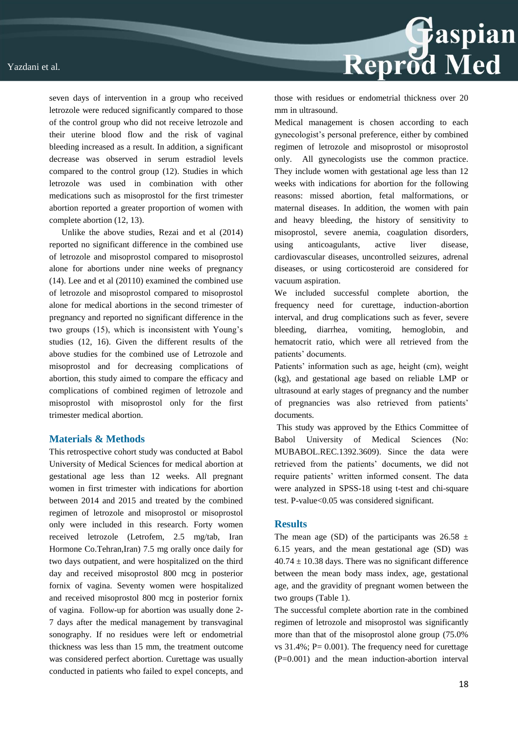seven days of intervention in a group who received letrozole were reduced significantly compared to those of the control group who did not receive letrozole and their uterine blood flow and the risk of vaginal bleeding increased as a result. In addition, a significant decrease was observed in serum estradiol levels compared to the control group (12). Studies in which letrozole was used in combination with other medications such as misoprostol for the first trimester abortion reported a greater proportion of women with complete abortion (12, 13).

Unlike the above studies, Rezai and et al (2014) reported no significant difference in the combined use of letrozole and misoprostol compared to misoprostol alone for abortions under nine weeks of pregnancy (14). Lee and et al (20110) examined the combined use of letrozole and misoprostol compared to misoprostol alone for medical abortions in the second trimester of pregnancy and reported no significant difference in the two groups (15), which is inconsistent with Young's studies (12, 16). Given the different results of the above studies for the combined use of Letrozole and misoprostol and for decreasing complications of abortion, this study aimed to compare the efficacy and complications of combined regimen of letrozole and misoprostol with misoprostol only for the first trimester medical abortion.

#### **Materials & Methods**

This retrospective cohort study was conducted at Babol University of Medical Sciences for medical abortion at gestational age less than 12 weeks. All pregnant women in first trimester with indications for abortion between 2014 and 2015 and treated by the combined regimen of letrozole and misoprostol or misoprostol only were included in this research. Forty women received letrozole (Letrofem, 2.5 mg/tab, Iran Hormone Co.Tehran,Iran) 7.5 mg orally once daily for two days outpatient, and were hospitalized on the third day and received misoprostol 800 mcg in posterior fornix of vagina. Seventy women were hospitalized and received misoprostol 800 mcg in posterior fornix of vagina. Follow-up for abortion was usually done 2- 7 days after the medical management by transvaginal sonography. If no residues were left or endometrial thickness was less than 15 mm, the treatment outcome was considered perfect abortion. Curettage was usually conducted in patients who failed to expel concepts, and



those with residues or endometrial thickness over 20 mm in ultrasound.

Medical management is chosen according to each gynecologist's personal preference, either by combined regimen of letrozole and misoprostol or misoprostol only. All gynecologists use the common practice. They include women with gestational age less than 12 weeks with indications for abortion for the following reasons: missed abortion, fetal malformations, or maternal diseases. In addition, the women with pain and heavy bleeding, the history of sensitivity to misoprostol, severe anemia, coagulation disorders, using anticoagulants, active liver disease, cardiovascular diseases, uncontrolled seizures, adrenal diseases, or using corticosteroid are considered for vacuum aspiration.

We included successful complete abortion, the frequency need for curettage, induction-abortion interval, and drug complications such as fever, severe bleeding, diarrhea, vomiting, hemoglobin, and hematocrit ratio, which were all retrieved from the patients' documents.

Patients' information such as age, height (cm), weight (kg), and gestational age based on reliable LMP or ultrasound at early stages of pregnancy and the number of pregnancies was also retrieved from patients' documents.

This study was approved by the Ethics Committee of Babol University of Medical Sciences (No: MUBABOL.REC.1392.3609). Since the data were retrieved from the patients' documents, we did not require patients' written informed consent. The data were analyzed in SPSS-18 using t-test and chi-square test. P-value<0.05 was considered significant.

#### **Results**

The mean age (SD) of the participants was  $26.58 \pm$ 6.15 years, and the mean gestational age (SD) was  $40.74 \pm 10.38$  days. There was no significant difference between the mean body mass index, age, gestational age, and the gravidity of pregnant women between the two groups (Table 1).

The successful complete abortion rate in the combined regimen of letrozole and misoprostol was significantly more than that of the misoprostol alone group (75.0% vs  $31.4\%$ ; P= 0.001). The frequency need for curettage (P=0.001) and the mean induction-abortion interval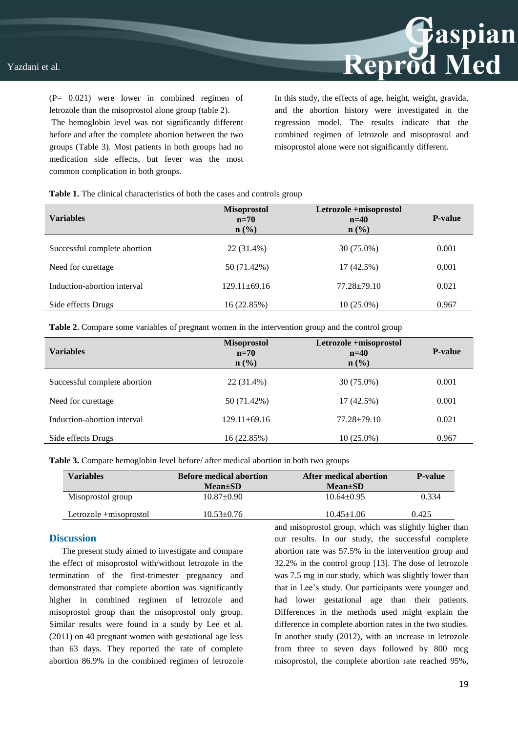(P= 0.021) were lower in combined regimen of letrozole than the misoprostol alone group (table 2).

The hemoglobin level was not significantly different before and after the complete abortion between the two groups (Table 3). Most patients in both groups had no medication side effects, but fever was the most common complication in both groups.

In this study, the effects of age, height, weight, gravida, and the abortion history were investigated in the regression model. The results indicate that the combined regimen of letrozole and misoprostol and misoprostol alone were not significantly different.

Reprod Med

**Table 1.** The clinical characteristics of both the cases and controls group

| <b>Variables</b>             | <b>Misoprostol</b><br>$n=70$<br>$n$ (%) | Letrozole +misoprostol<br>$n=40$<br>$n\left(\frac{0}{0}\right)$ | <b>P-value</b> |
|------------------------------|-----------------------------------------|-----------------------------------------------------------------|----------------|
| Successful complete abortion | 22 (31.4%)                              | 30 (75.0%)                                                      | 0.001          |
| Need for curettage           | 50 (71.42%)                             | 17 (42.5%)                                                      | 0.001          |
| Induction-abortion interval  | $129.11 \pm 69.16$                      | $77.28 \pm 79.10$                                               | 0.021          |
| Side effects Drugs           | 16 (22.85%)                             | $10(25.0\%)$                                                    | 0.967          |

**Table 2**. Compare some variables of pregnant women in the intervention group and the control group

| <b>Variables</b>             | <b>Misoprostol</b><br>$n=70$<br>$n\left(\frac{0}{0}\right)$ | Letrozole +misoprostol<br>$n=40$<br>$n$ (%) | <b>P-value</b> |
|------------------------------|-------------------------------------------------------------|---------------------------------------------|----------------|
| Successful complete abortion | 22 (31.4%)                                                  | 30 (75.0%)                                  | 0.001          |
| Need for curettage           | 50 (71.42%)                                                 | 17 (42.5%)                                  | 0.001          |
| Induction-abortion interval  | $129.11 \pm 69.16$                                          | $77.28 \pm 79.10$                           | 0.021          |
| Side effects Drugs           | 16 (22.85%)                                                 | $10(25.0\%)$                                | 0.967          |

**Table 3.** Compare hemoglobin level before/ after medical abortion in both two groups

| <b>Variables</b>       | <b>Before medical abortion</b><br>$Mean \pm SD$ | After medical abortion<br>$Mean \pm SD$ | <b>P-value</b> |
|------------------------|-------------------------------------------------|-----------------------------------------|----------------|
| Misoprostol group      | $10.87 \pm 0.90$                                | $10.64 \pm 0.95$                        | 0.334          |
| Letrozole +misoprostol | $10.53 \pm 0.76$                                | $10.45 \pm 1.06$                        | 0.425          |

#### **Discussion**

The present study aimed to investigate and compare the effect of misoprostol with/without letrozole in the termination of the first-trimester pregnancy and demonstrated that complete abortion was significantly higher in combined regimen of letrozole and misoprostol group than the misoprostol only group. Similar results were found in a study by Lee et al. (2011) on 40 pregnant women with gestational age less than 63 days. They reported the rate of complete abortion 86.9% in the combined regimen of letrozole

and misoprostol group, which was slightly higher than our results. In our study, the successful complete abortion rate was 57.5% in the intervention group and 32.2% in the control group [13]. The dose of letrozole was 7.5 mg in our study, which was slightly lower than that in Lee's study. Our participants were younger and had lower gestational age than their patients. Differences in the methods used might explain the difference in complete abortion rates in the two studies. In another study (2012), with an increase in letrozole from three to seven days followed by 800 mcg misoprostol, the complete abortion rate reached 95%,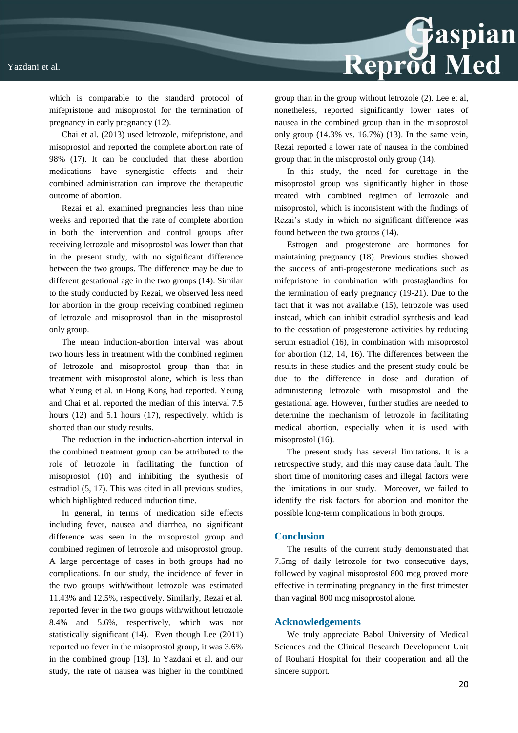#### Yazdani et al.

Reprod Med

which is comparable to the standard protocol of mifepristone and misoprostol for the termination of pregnancy in early pregnancy (12).

Chai et al. (2013) used letrozole, mifepristone, and misoprostol and reported the complete abortion rate of 98% (17). It can be concluded that these abortion medications have synergistic effects and their combined administration can improve the therapeutic outcome of abortion.

Rezai et al. examined pregnancies less than nine weeks and reported that the rate of complete abortion in both the intervention and control groups after receiving letrozole and misoprostol was lower than that in the present study, with no significant difference between the two groups. The difference may be due to different gestational age in the two groups (14). Similar to the study conducted by Rezai, we observed less need for abortion in the group receiving combined regimen of letrozole and misoprostol than in the misoprostol only group.

The mean induction-abortion interval was about two hours less in treatment with the combined regimen of letrozole and misoprostol group than that in treatment with misoprostol alone, which is less than what Yeung et al. in Hong Kong had reported. Yeung and Chai et al. reported the median of this interval 7.5 hours (12) and 5.1 hours (17), respectively, which is shorted than our study results.

The reduction in the induction-abortion interval in the combined treatment group can be attributed to the role of letrozole in facilitating the function of misoprostol (10) and inhibiting the synthesis of estradiol (5, 17). This was cited in all previous studies, which highlighted reduced induction time.

In general, in terms of medication side effects including fever, nausea and diarrhea, no significant difference was seen in the misoprostol group and combined regimen of letrozole and misoprostol group. A large percentage of cases in both groups had no complications. In our study, the incidence of fever in the two groups with/without letrozole was estimated 11.43% and 12.5%, respectively. Similarly, Rezai et al. reported fever in the two groups with/without letrozole 8.4% and 5.6%, respectively, which was not statistically significant (14). Even though Lee (2011) reported no fever in the misoprostol group, it was 3.6% in the combined group [13]. In Yazdani et al. and our study, the rate of nausea was higher in the combined

group than in the group without letrozole (2). Lee et al, nonetheless, reported significantly lower rates of nausea in the combined group than in the misoprostol only group (14.3% vs. 16.7%) (13). In the same vein, Rezai reported a lower rate of nausea in the combined group than in the misoprostol only group (14).

In this study, the need for curettage in the misoprostol group was significantly higher in those treated with combined regimen of letrozole and misoprostol, which is inconsistent with the findings of Rezai's study in which no significant difference was found between the two groups (14).

Estrogen and progesterone are hormones for maintaining pregnancy (18). Previous studies showed the success of anti-progesterone medications such as mifepristone in combination with prostaglandins for the termination of early pregnancy (19-21). Due to the fact that it was not available (15), letrozole was used instead, which can inhibit estradiol synthesis and lead to the cessation of progesterone activities by reducing serum estradiol (16), in combination with misoprostol for abortion (12, 14, 16). The differences between the results in these studies and the present study could be due to the difference in dose and duration of administering letrozole with misoprostol and the gestational age. However, further studies are needed to determine the mechanism of letrozole in facilitating medical abortion, especially when it is used with misoprostol (16).

The present study has several limitations. It is a retrospective study, and this may cause data fault. The short time of monitoring cases and illegal factors were the limitations in our study. Moreover, we failed to identify the risk factors for abortion and monitor the possible long-term complications in both groups.

#### **Conclusion**

The results of the current study demonstrated that 7.5mg of daily letrozole for two consecutive days, followed by vaginal misoprostol 800 mcg proved more effective in terminating pregnancy in the first trimester than vaginal 800 mcg misoprostol alone.

#### **Acknowledgements**

We truly appreciate Babol University of Medical Sciences and the Clinical Research Development Unit of Rouhani Hospital for their cooperation and all the sincere support.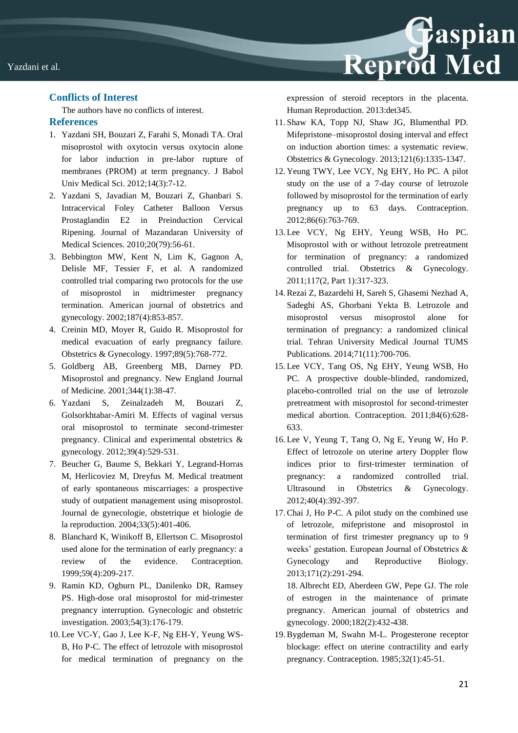### **Conflicts of Interest**

The authors have no conflicts of interest.

### **References**

- 1. Yazdani SH, Bouzari Z, Farahi S, Monadi TA. Oral misoprostol with oxytocin versus oxytocin alone for labor induction in pre-labor rupture of membranes (PROM) at term pregnancy. J Babol Univ Medical Sci. 2012;14(3):7-12.
- 2. Yazdani S, Javadian M, Bouzari Z, Ghanbari S. Intracervical Foley Catheter Balloon Versus Prostaglandin E2 in Preinduction Cervical Ripening. Journal of Mazandaran University of Medical Sciences. 2010;20(79):56-61.
- 3. Bebbington MW, Kent N, Lim K, Gagnon A, Delisle MF, Tessier F, et al. A randomized controlled trial comparing two protocols for the use of misoprostol in midtrimester pregnancy termination. American journal of obstetrics and gynecology. 2002;187(4):853-857.
- 4. Creinin MD, Moyer R, Guido R. Misoprostol for medical evacuation of early pregnancy failure. Obstetrics & Gynecology. 1997;89(5):768-772.
- 5. Goldberg AB, Greenberg MB, Darney PD. Misoprostol and pregnancy. New England Journal of Medicine. 2001;344(1):38-47.
- 6. Yazdani S, Zeinalzadeh M, Bouzari Z, Golsorkhtabar-Amiri M. Effects of vaginal versus oral misoprostol to terminate second-trimester pregnancy. Clinical and experimental obstetrics & gynecology. 2012;39(4):529-531.
- 7. Beucher G, Baume S, Bekkari Y, Legrand-Horras M, Herlicoviez M, Dreyfus M. Medical treatment of early spontaneous miscarriages: a prospective study of outpatient management using misoprostol. Journal de gynecologie, obstetrique et biologie de la reproduction. 2004;33(5):401-406.
- 8. Blanchard K, Winikoff B, Ellertson C. Misoprostol used alone for the termination of early pregnancy: a review of the evidence. Contraception. 1999;59(4):209-217.
- 9. Ramin KD, Ogburn PL, Danilenko DR, Ramsey PS. High-dose oral misoprostol for mid-trimester pregnancy interruption. Gynecologic and obstetric investigation. 2003;54(3):176-179.
- 10. Lee VC-Y, Gao J, Lee K-F, Ng EH-Y, Yeung WS-B, Ho P-C. The effect of letrozole with misoprostol for medical termination of pregnancy on the

expression of steroid receptors in the placenta. Human Reproduction. 2013:det345.

Reprod Med

- 11. Shaw KA, Topp NJ, Shaw JG, Blumenthal PD. Mifepristone–misoprostol dosing interval and effect on induction abortion times: a systematic review. Obstetrics & Gynecology. 2013;121(6):1335-1347.
- 12. Yeung TWY, Lee VCY, Ng EHY, Ho PC. A pilot study on the use of a 7-day course of letrozole followed by misoprostol for the termination of early pregnancy up to 63 days. Contraception. 2012;86(6):763-769.
- 13. Lee VCY, Ng EHY, Yeung WSB, Ho PC. Misoprostol with or without letrozole pretreatment for termination of pregnancy: a randomized controlled trial. Obstetrics & Gynecology. 2011;117(2, Part 1):317-323.
- 14.Rezai Z, Bazardehi H, Sareh S, Ghasemi Nezhad A, Sadeghi AS, Ghorbani Yekta B. Letrozole and misoprostol versus misoprostol alone for termination of pregnancy: a randomized clinical trial. Tehran University Medical Journal TUMS Publications. 2014;71(11):700-706.
- 15. Lee VCY, Tang OS, Ng EHY, Yeung WSB, Ho PC. A prospective double-blinded, randomized, placebo-controlled trial on the use of letrozole pretreatment with misoprostol for second-trimester medical abortion. Contraception. 2011;84(6):628- 633.
- 16. Lee V, Yeung T, Tang O, Ng E, Yeung W, Ho P. Effect of letrozole on uterine artery Doppler flow indices prior to first-trimester termination of pregnancy: a randomized controlled trial. Ultrasound in Obstetrics & Gynecology. 2012;40(4):392-397.
- 17.Chai J, Ho P-C. A pilot study on the combined use of letrozole, mifepristone and misoprostol in termination of first trimester pregnancy up to 9 weeks' gestation. European Journal of Obstetrics & Gynecology and Reproductive Biology. 2013;171(2):291-294.

18. Albrecht ED, Aberdeen GW, Pepe GJ. The role of estrogen in the maintenance of primate pregnancy. American journal of obstetrics and gynecology. 2000;182(2):432-438.

19.Bygdeman M, Swahn M-L. Progesterone receptor blockage: effect on uterine contractility and early pregnancy. Contraception. 1985;32(1):45-51.